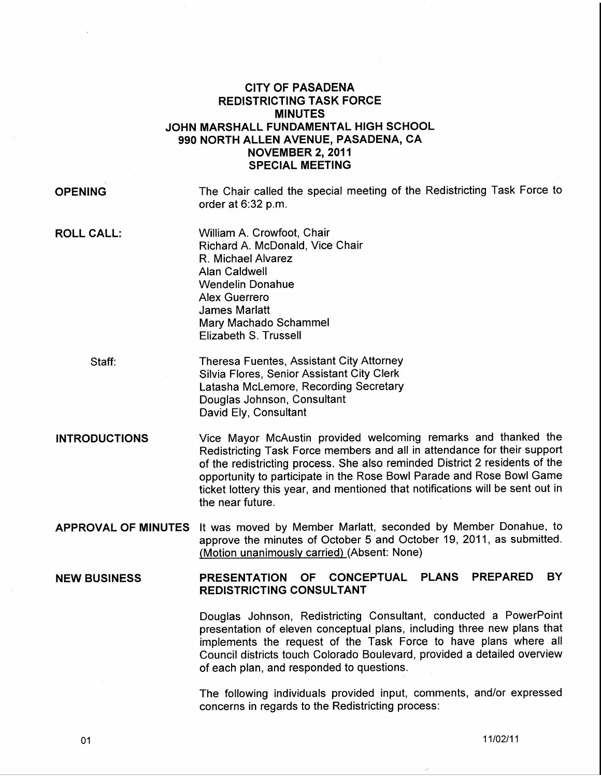# CITY OF PASADENA REDISTRICTING TASK FORCE MINUTES JOHN MARSHALL FUNDAMENTAL HIGH SCHOOL 990 NORTH ALLEN AVENUE, PASADENA, CA NOVEMBER 2, 2011 SPECIAL MEETING

OPENING

The Chair called the special meeting of the Redistricting Task Force to order at 6:32 p.m.

**ROLL CALL:** 

William A. Crowfoot, Chair Richard A. McDonald, Vice Chair R. Michael Alvarez Alan Caldwell Wendelin Donahue Alex Guerrero James Marlatt Mary Machado Schammel Elizabeth S. Trussell

Staff:

Theresa Fuentes, Assistant City Attorney Silvia Flores, Senior Assistant City Clerk Latasha Mclemore, Recording Secretary Douglas Johnson, Consultant David Ely, Consultant

## INTRODUCTIONS

Vice Mayor McAustin provided welcoming remarks and thanked the Redistricting Task Force members and all in attendance for their support of the redistricting process. She also reminded District 2 residents of the opportunity to participate in the Rose Bowl Parade and Rose Bowl Game ticket lottery this year, and mentioned that notifications will be sent out in the near future.

APPROVAL OF MINUTES It was moved by Member Marlatt, seconded by Member Donahue, to approve the minutes of October 5 and October 19, 2011, as submitted. (Motion unanimously carried) (Absent: None)

#### NEW BUSINESS PRESENTATION OF CONCEPTUAL PLANS PREPARED BY REDISTRICTING CONSULTANT

Douglas Johnson, Redistricting Consultant, conducted a PowerPoint presentation of eleven conceptual plans, including three new plans that implements the request of the Task Force to have plans where all Council districts touch Colorado Boulevard, provided a detailed overview of each plan, and responded to questions.

The following individuals provided input, comments, and/or expressed concerns in regards to the Redistricting process: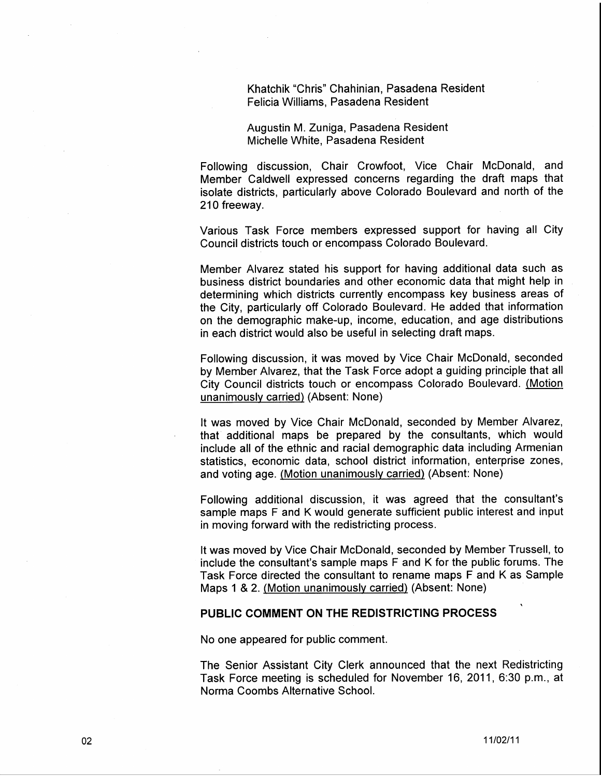Khatchik "Chris" Chahinian, Pasadena Resident Felicia Williams, Pasadena Resident

Augustin M. Zuniga, Pasadena Resident Michelle White, Pasadena Resident

Following discussion, Chair Crowfoot, Vice Chair McDonald, and Member Caldwell expressed concerns regarding the draft maps that isolate districts, particularly above Colorado Boulevard and north of the 210 freeway.

Various Task Force members expressed support for having all City Council districts touch or encompass Colorado Boulevard.

Member Alvarez stated his support for having additional data such as business district boundaries and other economic data that might help in determining which districts currently encompass key business areas of the City, particularly off Colorado Boulevard. He added that information on the demographic make-up, income, education, and age distributions in each district would also be useful in selecting draft maps.

Following discussion, it was moved by Vice Chair McDonald, seconded by Member Alvarez, that the Task Force adopt a guiding principle that all City Council districts touch or encompass Colorado Boulevard. (Motion unanimously carried) (Absent: None)

It was moved by Vice Chair McDonald, seconded by Member Alvarez, that additional maps be prepared by the consultants, which would include all of the ethnic and racial demographic data including Armenian statistics, economic data, school district information, enterprise zones, and voting age. (Motion unanimously carried) (Absent: None)

Following additional discussion, it was agreed that the consultant's sample maps F and K would generate sufficient public interest and input in moving forward with the redistricting process.

It was moved by Vice Chair McDonald, seconded by Member Trussell, to include the consultant's sample maps F and K for the public forums. The Task Force directed the consultant to rename maps F and K as Sample Maps 1 & 2. (Motion unanimously carried) (Absent: None)

### **PUBLIC COMMENT ON THE REDISTRICTING PROCESS**

No one appeared for public comment.

The Senior Assistant City Clerk announced that the next Redistricting Task Force meeting is scheduled for November 16, 2011, 6:30 p.m., at Norma Coombs Alternative School.